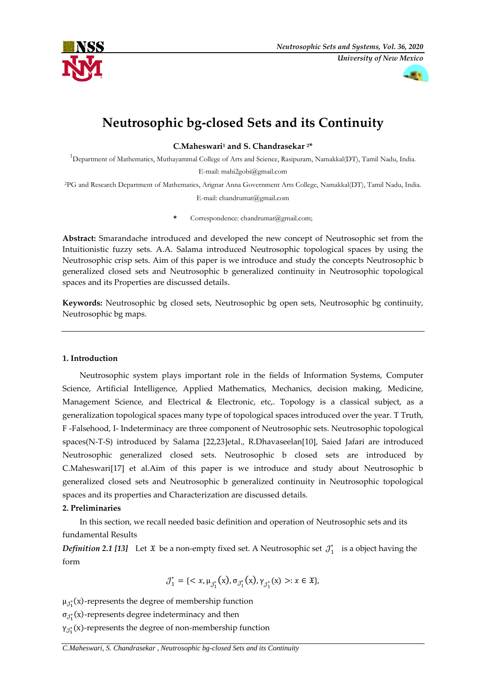



# **Neutrosophic bg-closed Sets and its Continuity**

**C.Maheswari<sup>1</sup> and S. Chandrasekar 2\***

<sup>1</sup>Department of Mathematics, Muthayammal College of Arts and Science, Rasipuram, Namakkal(DT), Tamil Nadu, India. E-mail: mahi2gobi@gmail.com

<sup>2</sup>PG and Research Department of Mathematics, Arignar Anna Government Arts College, Namakkal(DT), Tamil Nadu, India.

E-mail: chandrumat@gmail.com

**\*** Correspondence: chandrumat@gmail.com;

**Abstract:** Smarandache introduced and developed the new concept of Neutrosophic set from the Intuitionistic fuzzy sets. A.A. Salama introduced Neutrosophic topological spaces by using the Neutrosophic crisp sets. Aim of this paper is we introduce and study the concepts Neutrosophic b generalized closed sets and Neutrosophic b generalized continuity in Neutrosophic topological spaces and its Properties are discussed details.

**Keywords:** Neutrosophic bg closed sets, Neutrosophic bg open sets, Neutrosophic bg continuity, Neutrosophic bg maps.

# **1. Introduction**

Neutrosophic system plays important role in the fields of Information Systems, Computer Science, Artificial Intelligence, Applied Mathematics, Mechanics, decision making, Medicine, Management Science, and Electrical & Electronic, etc,. Topology is a classical subject, as a generalization topological spaces many type of topological spaces introduced over the year. T Truth, F -Falsehood, I- Indeterminacy are three component of Neutrosophic sets. Neutrosophic topological spaces(N-T-S) introduced by Salama [22,23]etal., R.Dhavaseelan[10], Saied Jafari are introduced Neutrosophic generalized closed sets. Neutrosophic b closed sets are introduced by C.Maheswari[17] et al.Aim of this paper is we introduce and study about Neutrosophic b generalized closed sets and Neutrosophic b generalized continuity in Neutrosophic topological spaces and its properties and Characterization are discussed details.

# **2. Preliminaries**

In this section, we recall needed basic definition and operation of Neutrosophic sets and its fundamental Results

*Definition* 2.1 [13] Let  $\mathfrak X$  be a non-empty fixed set. A Neutrosophic set  $\mathcal J_1^*$  is a object having the form

$$
\mathcal{J}_1^* = \{ \langle x, \mu_{\mathcal{J}_1^*}(x), \sigma_{\mathcal{J}_1^*}(x), \gamma_{\mathcal{J}_1^*}(x) \rangle : x \in \mathfrak{X} \},
$$

 $\mu_{\mathcal{J}_1^*}(\text{x})$ -represents the degree of membership function

 $\sigma_{\mathcal{J}_1^*}(\text{x})$ -represents degree indeterminacy and then

 $γ_{J_1^*}(x)$ -represents the degree of non-membership function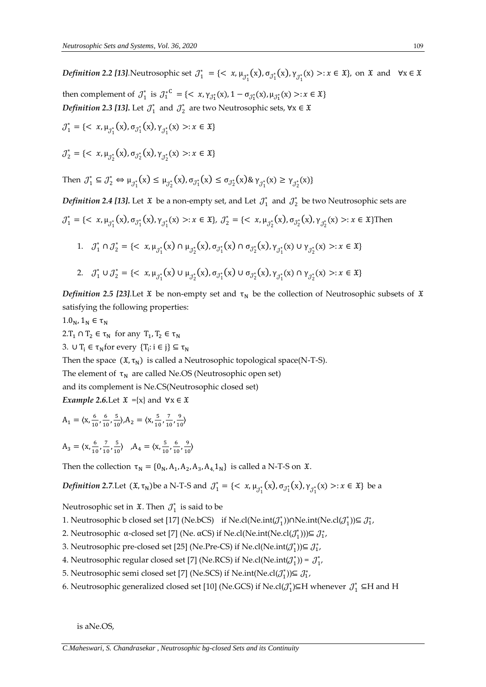*Definition 2.2 [13]*. Neutrosophic set  $J_1^* = \{ \langle x, \mu_{J_1^*}(x), \sigma_{J_1^*}(x), \gamma_{J_1^*}(x) >: x \in \mathfrak{X} \}$ , on  $\mathfrak{X}$  and  $\forall x \in \mathfrak{X}$ then complement of  $J_1^*$  is  $J_1^{*C} = \{ \langle x, \gamma_{J_1^*}(x), 1 - \sigma_{J_1^*}(x), \mu_{J_1^*}(x) \rangle : x \in \mathfrak{X} \}$ *Definition* 2.3 [13]. Let  $\mathcal{J}_1^*$  and  $\mathcal{J}_2^*$  are two Neutrosophic sets, ∀x ∈  $\mathfrak{X}$  $\mathcal{J}_1^* = \{ \langle x, \mu_{\mathcal{J}_1^*}(x), \sigma_{\mathcal{J}_1^*}(x), \gamma_{\mathcal{J}_1^*}(x) \rangle : x \in \mathfrak{X} \}$  $\mathcal{J}_2^* = \{ \langle x, \mu_{\mathcal{J}_2^*}(x), \sigma_{\mathcal{J}_2^*}(x), \gamma_{\mathcal{J}_2^*}(x) \rangle : x \in \mathfrak{X} \}$ Then  $J_1^* \subseteq J_2^* \Leftrightarrow \mu_{J_1^*}(x) \le \mu_{J_2^*}(x), \sigma_{J_1^*}(x) \le \sigma_{J_2^*}(x) \& \gamma_{J_1^*}(x) \ge \gamma_{J_2^*}(x)$ *Definition* 2.4 [13]. Let  $\mathfrak X$  be a non-empty set, and Let  $\mathcal J_1^*$  and  $\mathcal J_2^*$  be two Neutrosophic sets are  $J_1^* = \{ \langle x, \mu_{J_1^*}(x), \sigma_{J_1^*}(x), \gamma_{J_1^*}(x) \rangle : x \in \mathfrak{X} \}, \ J_2^* = \{ \langle x, \mu_{J_2^*}(x), \sigma_{J_2^*}(x) \rangle : x \in \mathfrak{X} \}$ Then 1.  $\mathcal{J}_1^* \cap \mathcal{J}_2^* = \{ \langle x, \mu_{\mathcal{J}_1^*}(x) \cap \mu_{\mathcal{J}_2^*}(x), \sigma_{\mathcal{J}_1^*}(x) \cap \sigma_{\mathcal{J}_2^*}(x), \gamma_{\mathcal{J}_1^*}(x) \cup \gamma_{\mathcal{J}_2^*}(x) \rangle : x \in \mathfrak{X} \}$ 

2. 
$$
\mathcal{J}_1^* \cup \mathcal{J}_2^* = \{ \langle x, \mu_{\mathcal{J}_1^*}(x) \cup \mu_{\mathcal{J}_2^*}(x), \sigma_{\mathcal{J}_1^*}(x) \cup \sigma_{\mathcal{J}_2^*}(x), \gamma_{\mathcal{J}_1^*}(x) \cap \gamma_{\mathcal{J}_2^*}(x) \rangle : x \in \mathfrak{X} \}
$$

*Definition 2.5 [23]*.Let  $\tilde{x}$  be non-empty set and  $\tau_N$  be the collection of Neutrosophic subsets of  $\tilde{x}$ satisfying the following properties:

 $1.0_N$ ,  $1_N \in \tau_N$ 

2.T<sub>1</sub>  $\cap$  T<sub>2</sub>  $\in \tau_N$  for any T<sub>1</sub>, T<sub>2</sub>  $\in \tau_N$ 

3.  $\cup$  T<sub>i</sub>  $\in \tau_N$ for every  $\{T_i : i \in j\} \subseteq \tau_N$ 

Then the space  $(\mathfrak{X}, \tau_N)$  is called a Neutrosophic topological space(N-T-S).

The element of  $\tau_N$  are called Ne.OS (Neutrosophic open set)

and its complement is Ne.CS(Neutrosophic closed set)

*Example* 2.6.Let  $\mathfrak{X} = \{x\}$  and  $\forall x \in \mathfrak{X}$ 

$$
A_1 = \langle x, \frac{6}{10}, \frac{6}{10}, \frac{5}{10} \rangle, A_2 = \langle x, \frac{5}{10}, \frac{7}{10}, \frac{9}{10} \rangle
$$

$$
A_3 = \langle x, \frac{6}{10}, \frac{7}{10}, \frac{5}{10} \rangle, A_4 = \langle x, \frac{5}{10}, \frac{6}{10}, \frac{9}{10} \rangle
$$

Then the collection  $\tau_N = \{0_N, A_1, A_2, A_3, A_4, 1_N\}$  is called a N-T-S on  $\mathfrak{X}$ .

*Definition* 2.7.Let  $({\mathfrak{X}}, \tau_N)$ be a N-T-S and  $\mathcal{J}_1^* = \{<\x, \mu_{\mathcal{J}_1^*}(x), \sigma_{\mathcal{J}_1^*}(x), \gamma_{\mathcal{J}_1^*}(x) >: x \in \mathfrak{X}\}$  be a

Neutrosophic set in  $\mathfrak{X}$ . Then  $\mathcal{J}_1^*$  is said to be

- 1. Neutrosophic b closed set [17] (Ne.bCS) if Ne.cl(Ne.int( $J_1^*$ ))∩Ne.int(Ne.cl( $J_1^*$ ))⊆  $J_1^*$ ,
- 2. Neutrosophic α-closed set [7] (Ne. αCS) if Ne.cl(Ne.int(Ne.cl( $J_1^*$ )))⊆  $J_1^*$ ,
- 3. Neutrosophic pre-closed set [25] (Ne.Pre-CS) if Ne.cl(Ne.int( $(\mathcal{J}_1^*)$ ) $\subseteq \mathcal{J}_1^*$ ,
- 4. Neutrosophic regular closed set [7] (Ne.RCS) if Ne.cl(Ne.int( $J_1^*$ )) =  $J_1^*$ ,
- 5. Neutrosophic semi closed set [7] (Ne.SCS) if Ne.int(Ne.cl $(\mathcal{J}_1^*)$ ) $\subseteq \mathcal{J}_1^*$ ,
- 6. Neutrosophic generalized closed set [10] (Ne.GCS) if Ne.cl( $J_1^*$ )⊆H whenever  $J_1^*$  ⊆H and H

is aNe.OS,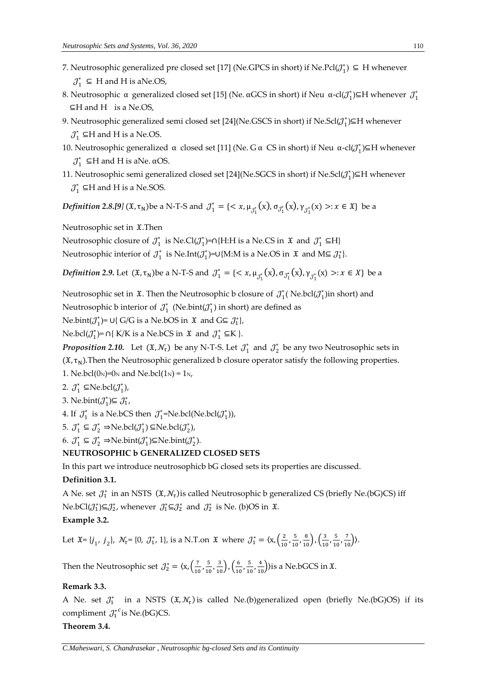- 7. Neutrosophic generalized pre closed set [17] (Ne.GPCS in short) if Ne.Pcl $(\mathcal{J}_1^*) \subseteq H$  whenever  $\mathcal{J}_1^* \subseteq H$  and H is aNe.OS,
- 8. Neutrosophic α generalized closed set [15] (Ne. αGCS in short) if Neu α-cl( $\mathcal{J}_1^*$ )⊆H whenever  $\mathcal{J}_1^*$ ⊆H and H is a Ne.OS,
- 9. Neutrosophic generalized semi closed set [24](Ne.GSCS in short) if Ne.Scl $(\mathcal{J}_1^*)$  $\subseteq$ H whenever  $J_1^*$  ⊆H and H is a Ne.OS.
- 10. Neutrosophic generalized α closed set [11] (Ne. G α CS in short) if Neu α-cl( $J_1^*$ )⊆H whenever  $\mathcal{J}_1^*$  ⊆H and H is aNe. αOS.
- 11. Neutrosophic semi generalized closed set [24](Ne.SGCS in short) if Ne.Scl( $\mathcal{J}_1^*$ ) $\subseteq$ H whenever  $J_1^*$  ⊆H and H is a Ne.SOS.

*Definition 2.8.[9]* ( $\mathfrak{X}, \tau_N$ )be a N-T-S and  $\mathcal{J}_1^* = \{ \langle x, \mu_{\mathcal{J}_1^*}(x), \sigma_{\mathcal{J}_1^*}(x), \gamma_{\mathcal{J}_1^*}(x) >: x \in \mathfrak{X} \}$  be a

Neutrosophic set in  $\mathfrak{X}$ . Then

Neutrosophic closure of  $\mathcal{J}_1^*$  is Ne.Cl $(\mathcal{J}_1^*)$ =∩{H:H is a Ne.CS in  $\mathfrak{X}$  and  $\mathcal{J}_1^* \subseteq H$ }

Neutrosophic interior of  $\mathcal{J}_1^*$  is Ne.Int $(\mathcal{J}_1^*)$ =∪{M:M is a Ne.OS in  $\mathfrak{X}$  and M⊆  $\mathcal{J}_1^*$ }.

*Definition 2.9.* Let  $({\mathfrak{X}}, \tau_N)$ be a N-T-S and  $\mathcal{J}_1^* = \{<\mathbf{x}, \mu_{\mathcal{J}_1^*}(x), \sigma_{\mathcal{J}_1^*}(x), \gamma_{\mathcal{J}_1^*}(x) >: x \in X\}$  be a

Neutrosophic set in  $\mathfrak X$ . Then the Neutrosophic b closure of  $\mathcal J_1^*$  (Ne.bcl $(\mathcal J_1^*)$ in short) and

Neutrosophic b interior of  $\mathcal{J}_1^*$  (Ne.bint $(\mathcal{J}_1^*)$  in short) are defined as

Ne.bint( $J_1^*$ )= ∪{ G/G is a Ne.bOS in  $\mathfrak X$  and G⊆  $J_1^*$ },

Ne.bcl( $J_1^*$ )= ∩{ K/K is a Ne.bCS in  $\mathfrak X$  and  $J_1^*$  ⊆K }.

*Proposition* 2.10. Let  $(\mathfrak{X}, \mathcal{N}_\tau)$  be any N-T-S. Let  $\mathcal{J}_1^*$  and  $\mathcal{J}_2^*$  be any two Neutrosophic sets in  $(\mathfrak{X}, \tau_N)$ . Then the Neutrosophic generalized b closure operator satisfy the following properties. 1. Ne.bcl(0<sub>N</sub>)=0<sub>N</sub> and Ne.bcl(1<sub>N</sub>) = 1<sub>N</sub>,

2.  $\mathcal{J}_1^* \subseteq \text{Ne.bcl}(\mathcal{J}_1^*)$ ,

3. Ne.bint
$$
(J_1^*) \subseteq J_1^*
$$
,

4. If  $\mathcal{J}_1^*$  is a Ne.bCS then  $\mathcal{J}_1^*$ =Ne.bcl(Ne.bcl( $\mathcal{J}_1^*$ )),

5.  $\mathcal{J}_1^* \subseteq \mathcal{J}_2^* \Rightarrow$ Ne.bcl $(\mathcal{J}_1^*) \subseteq$ Ne.bcl $(\mathcal{J}_2^*)$ ,

6.  $\mathcal{J}_1^* \subseteq \mathcal{J}_2^* \Rightarrow$ Ne.bint $(\mathcal{J}_1^*)$  $\subseteq$ Ne.bint $(\mathcal{J}_2^*)$ .

# **NEUTROSOPHIC b GENERALIZED CLOSED SETS**

In this part we introduce neutrosophicb bG closed sets its properties are discussed.

# **Definition 3.1.**

A Ne. set  $\mathcal{J}_1^*$  in an NSTS  $(\mathfrak{X}, \mathcal{N}_\tau)$ is called Neutrosophic b generalized CS (briefly Ne.(bG)CS) iff Ne.bCl( $\mathcal{J}_1^*$ )⊆ $\mathcal{J}_2^*$ , whenever  $\mathcal{J}_1^*$ ⊆ $\mathcal{J}_2^*$  and  $\mathcal{J}_2^*$  is Ne. (b)OS in  $\mathfrak{X}$ . **Example 3.2.**

Let  $\mathfrak{X} = \{j_1, j_2\}$ ,  $\mathcal{N}_{\tau} = \{0, \mathcal{J}_{1}^*, 1\}$ , is a N.T.on  $\mathfrak{X}$  where  $\mathcal{J}_{1}^* = \{x, \left(\frac{2}{10}\right)$  $\frac{2}{10}$ ,  $\frac{5}{10}$  $\frac{5}{10}, \frac{8}{10}$ ,  $\left(\frac{3}{10}\right)$  $\frac{3}{10}$ ,  $\frac{5}{10}$  $\frac{5}{10}, \frac{7}{10}$ ).

Then the Neutrosophic set  $\mathcal{J}_2^* = \langle x, \begin{pmatrix} \frac{7}{16} & \frac{1}{16} \\ \frac{1}{16} & \frac{1}{16} \end{pmatrix} \rangle$  $\frac{7}{10}$ ,  $\frac{5}{10}$  $\frac{5}{10}, \frac{3}{10}$ ,  $\left(\frac{6}{10}\right)$  $\frac{6}{10}$ ,  $\frac{5}{10}$  $\left(\frac{5}{10}, \frac{4}{10}\right)$ ) is a Ne.bGCS in  $\mathfrak{X}$ .

#### **Remark 3.3.**

A Ne. set  $J_1^*$  in a NSTS  $(\mathfrak{X}, \mathcal{N}_\tau)$  is called Ne.(b)generalized open (briefly Ne.(bG)OS) if its compliment  $J_1^{*c}$  is Ne.(bG)CS.

# **Theorem 3.4.**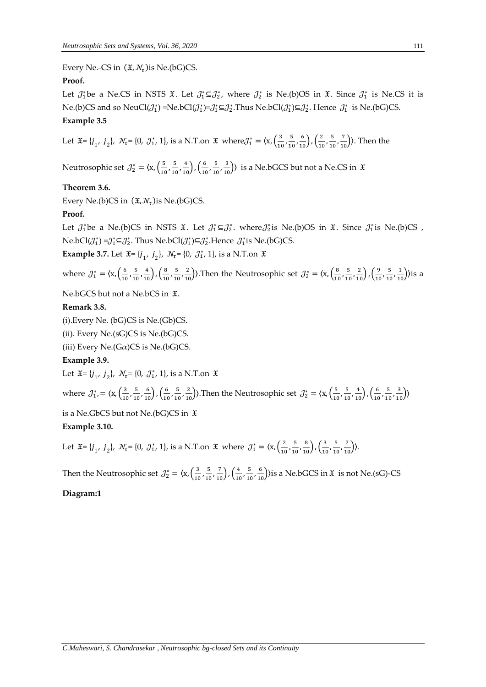Every Ne.-CS in  $(\mathfrak{X}, \mathcal{N}_\tau)$ is Ne.(bG)CS.

# **Proof.**

Let  $\mathcal{J}_1^*$ be a Ne.CS in NSTS  $\mathfrak{X}$ . Let  $\mathcal{J}_1^* \subseteq \mathcal{J}_2^*$ , where  $\mathcal{J}_2^*$  is Ne.(b)OS in  $\mathfrak{X}$ . Since  $\mathcal{J}_1^*$  is Ne.CS it is Ne.(b)CS and so NeuCl $(\mathcal{J}_1^*)$ =Ne.bCl $(\mathcal{J}_1^*)$ = $\mathcal{J}_1^* \subseteq \mathcal{J}_2^*$ .Thus Ne.bCl $(\mathcal{J}_1^*) \subseteq \mathcal{J}_2^*$ . Hence  $\mathcal{J}_1^*$  is Ne.(bG)CS.

# **Example 3.5**

Let  $\mathfrak{X} = \{j_1, j_2\}$ ,  $\mathcal{N}_{\tau} = \{0, \mathcal{J}_{1}^{*}, 1\}$ , is a N.T.on  $\mathfrak{X}$  where  $\mathcal{J}_{1}^{*} = \{x, \left(\frac{3}{10}\right)$  $\frac{3}{10}$ ,  $\frac{5}{10}$  $\frac{5}{10}, \frac{6}{10}$ ,  $\left(\frac{2}{10}\right)$  $\frac{2}{10}$ ,  $\frac{5}{10}$  $\frac{5}{10}, \frac{7}{10}$ ). Then the

Neutrosophic set  $\mathcal{J}_2^* = \langle x, \left( \frac{5}{10} \right) \rangle$  $\frac{5}{10}$ ,  $\frac{5}{10}$  $\frac{5}{10}, \frac{4}{10}$ ,  $\left(\frac{6}{10}\right)$  $\frac{6}{10}$ ,  $\frac{5}{10}$  $\left(\frac{5}{10}, \frac{3}{10}\right)$  is a Ne.bGCS but not a Ne.CS in  $\mathfrak{X}$ 

# **Theorem 3.6.**

Every Ne.(b)CS in  $(\mathfrak{X}, \mathcal{N}_\tau)$ is Ne.(bG)CS.

# **Proof.**

Let  $\mathcal{J}_1^*$ be a Ne.(b)CS in NSTS  $\mathfrak{X}$ . Let  $\mathcal{J}_1^* \subseteq \mathcal{J}_2^*$ . where $\mathcal{J}_2^*$ is Ne.(b)OS in  $\mathfrak{X}$ . Since  $\mathcal{J}_1^*$ is Ne.(b)CS , Ne.bCl( $\mathcal{J}_1^*$ )= $\mathcal{J}_1^* \subseteq \mathcal{J}_2^*$ . Thus Ne.bCl( $\mathcal{J}_1^*$ ) $\subseteq \mathcal{J}_2^*$ .Hence  $\mathcal{J}_1^*$ is Ne.(bG)CS.

**Example 3.7.** Let  $\mathfrak{X} = \{j_1, j_2\}$ ,  $\mathcal{N}_{\tau} = \{0, \mathcal{J}_1^*, 1\}$ , is a N.T.on  $\mathfrak{X}$ 

where  $J_1^* = \langle x, \left( \frac{6}{10} \right) \rangle$  $\frac{6}{10}$ ,  $\frac{5}{10}$  $\frac{5}{10}, \frac{4}{10}$ ,  $\left(\frac{8}{10}\right)$  $\frac{8}{10}$ ,  $\frac{5}{10}$  $\left(\frac{5}{10}, \frac{2}{10}\right)$ ). Then the Neutrosophic set  $\mathcal{J}_2^* = \langle x, \left(\frac{8}{10}\right), \frac{1}{10}\rangle$  $\frac{8}{10}$ ,  $\frac{5}{10}$  $\frac{5}{10}, \frac{2}{10}$ ,  $\left(\frac{9}{10}\right)$  $\frac{9}{10}$ ,  $\frac{5}{10}$  $\frac{5}{10}, \frac{1}{10}$ ) is a

Ne.bGCS but not a Ne.bCS in  $\mathfrak{X}$ .

# **Remark 3.8.**

(i).Every Ne. (bG)CS is Ne.(Gb)CS.

(ii). Every Ne.(sG)CS is Ne.(bG)CS.

(iii) Every Ne.( $G\alpha$ )CS is Ne.( $bG$ )CS.

# **Example 3.9.**

Let  $\mathfrak{X} = \{j_1, j_2\}, \mathcal{N}_{\tau} = \{0, \mathcal{J}_1^*, 1\}, \text{ is a N.T.}$  on  $\mathfrak{X}$ 

where  $J_1^* = \langle x, \left(\frac{3}{10}\right) \rangle$  $\frac{3}{10}$ ,  $\frac{5}{10}$  $\frac{5}{10}, \frac{6}{10}$ ,  $\left(\frac{6}{10}\right)$  $\frac{6}{10}$ ,  $\frac{5}{10}$  $\left(\frac{5}{10}, \frac{2}{10}\right)$ ). Then the Neutrosophic set  $\mathcal{J}_2^* = \langle x, \left(\frac{5}{10}\right), \frac{2}{10}\rangle$  $\frac{5}{10}$ ,  $\frac{5}{10}$  $\frac{5}{10}, \frac{4}{10}$ ,  $\left(\frac{6}{10}\right)$  $\frac{6}{10}$ ,  $\frac{5}{10}$  $\frac{5}{10}, \frac{3}{10}$ )

is a Ne.GbCS but not Ne.(bG)CS in  $\mathfrak X$ 

# **Example 3.10.**

Let  $\mathfrak{X} = \{j_1, j_2\}$ ,  $\mathcal{N}_{\tau} = \{0, \mathcal{J}_{1}^*, 1\}$ , is a N.T.on  $\mathfrak{X}$  where  $\mathcal{J}_{1}^* = \{x, \left(\frac{2}{10}\right)$  $\frac{2}{10}$ ,  $\frac{5}{10}$  $\frac{5}{10}, \frac{8}{10}$ ,  $\left(\frac{3}{10}\right)$  $\frac{3}{10}$ ,  $\frac{5}{10}$  $\frac{5}{10}, \frac{7}{10}$ ).

Then the Neutrosophic set  $\mathcal{J}_2^* = \langle x, \left( \frac{3}{16} \right) \rangle$  $\frac{3}{10}$ ,  $\frac{5}{10}$  $\frac{5}{10}, \frac{7}{10}$ ,  $\left(\frac{4}{10}\right)$  $\frac{4}{10}$ ,  $\frac{5}{10}$  $\frac{5}{10}, \frac{6}{10}$ ) is a Ne.bGCS in  $\mathfrak{X}$  is not Ne.(sG)-CS

# **Diagram:1**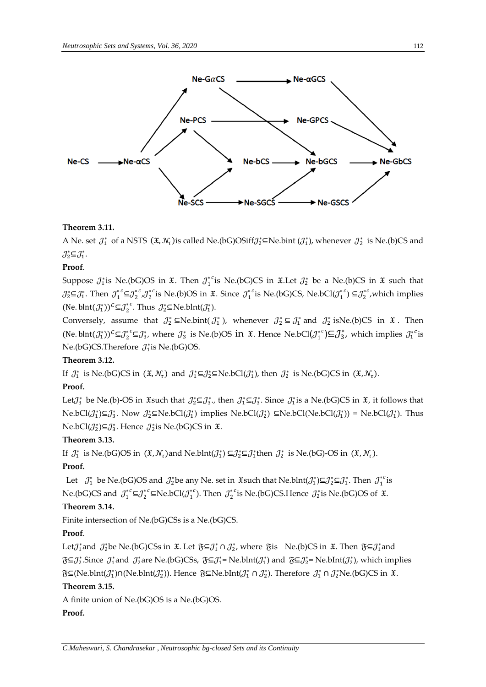

#### **Theorem 3.11.**

A Ne. set  $J_1^*$  of a NSTS  $(\mathfrak{X}, \mathcal{N}_\tau)$  is called Ne.(bG)OSiff $\mathcal{J}_2^* \subseteq$ Ne.bint  $(\mathcal{J}_1^*)$ , whenever  $\mathcal{J}_2^*$  is Ne.(b)CS and  $\mathcal{J}_2^* \subseteq \mathcal{J}_1^*.$ 

# **Proof**.

Suppose  $\mathcal{J}_1^*$  is Ne.(bG)OS in  $\mathfrak{X}$ . Then  $\mathcal{J}_1^*$  is Ne.(bG)CS in  $\mathfrak{X}$ . Let  $\mathcal{J}_2^*$  be a Ne.(b)CS in  $\mathfrak{X}$  such that  $\mathcal{J}_2^*$ ⊆ $\mathcal{J}_1^*$ . Then  $\mathcal{J}_1^{*c}$  $\mathcal{J}_2^{*c}$  is Ne.(b)OS in  $\mathfrak{X}$ . Since  $\mathcal{J}_1^{*c}$  is Ne.(bG)CS, Ne.bCl( $\mathcal{J}_1^{*c}$ ) ⊆ $\mathcal{J}_2^{*c}$ , which implies (Ne. blnt $(\mathcal{J}_1^*)^c \subseteq \mathcal{J}_2^{*c}$ . Thus  $\mathcal{J}_2^* \subseteq$ Ne.blnt $(\mathcal{J}_1^*)$ .

Conversely, assume that  $J_2^* \subseteq Ne\text{.} \text{bint}(J_1^*)$ , whenever  $J_2^* \subseteq J_1^*$  and  $J_2^*$  isNe.(b)CS in  $\mathfrak{X}$ . Then (Ne. blnt $(\mathcal{J}_1^*)^c \subseteq \mathcal{J}_2^* c \subseteq \mathcal{J}_3^*$ , where  $\mathcal{J}_3^*$  is Ne.(b)OS in  $\mathfrak{X}$ . Hence Ne.bCl $(\mathcal{J}_1^*) \subseteq \mathcal{J}_3^*$ , which implies  $\mathcal{J}_1^{*c}$  is Ne.(bG)CS.Therefore  $J_1^*$  is Ne.(bG)OS.

# **Theorem 3.12.**

If  $J_1^*$  is Ne.(bG)CS in  $(\mathfrak{X}, \mathcal{N}_\tau)$  and  $J_1^* \subseteq J_2^* \subseteq$  Ne.bCl $(J_1^*)$ , then  $J_2^*$  is Ne.(bG)CS in  $(\mathfrak{X}, \mathcal{N}_\tau)$ .

#### **Proof.**

Let $J_3^*$  be Ne.(b)-OS in  $\mathfrak{X}$ such that  $J_2^* \subseteq J_3^*$ , then  $J_1^* \subseteq J_3^*$ . Since  $J_1^*$  is a Ne.(bG)CS in  $\mathfrak{X}$ , it follows that  $Ne.bCl(\mathcal{J}_1^*) \subseteq \mathcal{J}_3^*$ . Now  $\mathcal{J}_2^* \subseteq Ne.bCl(\mathcal{J}_1^*)$  implies  $Ne.bCl(\mathcal{J}_2^*) \subseteq Ne.bCl(Ne.bCl(\mathcal{J}_1^*))$  =  $Ne.bCl(\mathcal{J}_1^*)$ . Thus Ne.bCl $(\mathcal{J}_2^*) \subseteq \mathcal{J}_3^*$ . Hence  $\mathcal{J}_2^*$ is Ne.(bG)CS in  $\mathfrak{X}$ .

#### **Theorem 3.13.**

If  $J_1^*$  is Ne.(bG)OS in  $(\mathfrak{X}, \mathcal{N}_\tau)$  and Ne.blnt $(J_1^*) \subseteq J_2^* \subseteq J_1^*$  then  $J_2^*$  is Ne.(bG)-OS in  $(\mathfrak{X}, \mathcal{N}_\tau)$ .

# **Proof.**

Let  $\mathcal{J}_1^*$  be Ne.(bG)OS and  $\mathcal{J}_2^*$ be any Ne. set in  $\mathfrak{X}$ such that Ne.blnt $(\mathcal{J}_1^*)\subseteq \mathcal{J}_2^* \subseteq \mathcal{J}_1^*$ . Then  $\mathcal{J}_1^{*c}$ is Ne.(bG)CS and  $\int_1^{*c} \Xi \int_2^{*c} \Xi Ne.bCl(\int_1^{*c})$ . Then  $\int_2^{*c}$  is Ne.(bG)CS.Hence  $\int_2^{*}$  is Ne.(bG)OS of  $\ddot{x}$ .

# **Theorem 3.14.**

Finite intersection of Ne.(bG)CSs is a Ne.(bG)CS.

#### **Proof**.

Let $J_1^*$ and  $J_2^*$ be Ne.(bG)CSs in  $\mathfrak{X}$ . Let  $\mathfrak{F}\subseteq J_1^*\cap J_2^*$ , where  $\mathfrak{F}$ is Ne.(b)CS in  $\mathfrak{X}$ . Then  $\mathfrak{F}\subseteq J_1^*$ and  $\mathfrak{F}\subseteq \mathcal{J}_2^*$ . Since  $\mathcal{J}_1^*$  and  $\mathcal{J}_2^*$  are Ne.(bG)CSs,  $\mathfrak{F}\subseteq \mathcal{J}_1^*$  = Ne.blnt( $\mathcal{J}_1^*$ ) and  $\mathfrak{F}\subseteq \mathcal{J}_2^*$  = Ne.blnt( $\mathcal{J}_2^*$ ), which implies  $\mathfrak{F}\subseteq$ (Ne.blnt( $\mathcal{J}_1^*$ )∩(Ne.blnt( $\mathcal{J}_2^*$ )). Hence  $\mathfrak{F}\subseteq$ Ne.blnt( $\mathcal{J}_1^* \cap \mathcal{J}_2^*$ ). Therefore  $\mathcal{J}_1^* \cap \mathcal{J}_2^*$ Ne.(bG)CS in  $\mathfrak{X}$ .

# **Theorem 3.15.**

A finite union of Ne.(bG)OS is a Ne.(bG)OS.

# **Proof.**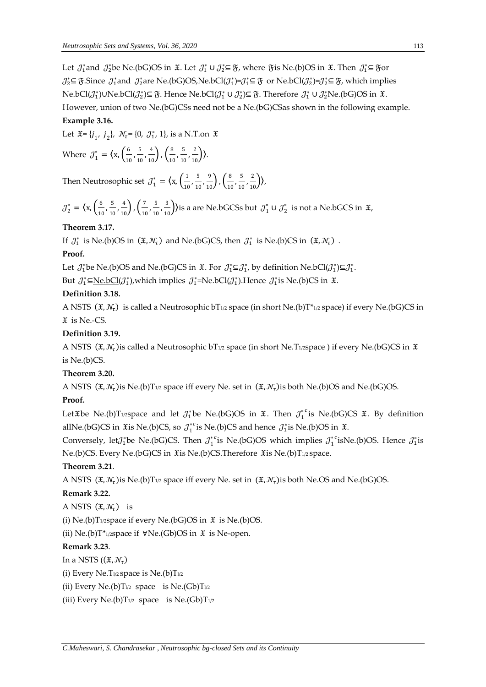Let  $\mathcal{J}_1^*$  and  $\mathcal{J}_2^*$ be Ne.(bG)OS in  $\mathfrak{X}$ . Let  $\mathcal{J}_1^* \cup \mathcal{J}_2^* \subseteq \mathfrak{F}$ , where  $\mathfrak{F}$ is Ne.(b)OS in  $\mathfrak{X}$ . Then  $\mathcal{J}_1^* \subseteq \mathfrak{F}$ or  $\mathcal{J}_2^*$ ⊆  $\mathfrak{F}$ .Since  $\mathcal{J}_1^*$  and  $\mathcal{J}_2^*$  are Ne.(bG)OS, Ne.bCl( $\mathcal{J}_1^*$ )= $\mathcal{J}_1^*$ ⊆  $\mathfrak{F}$  or Ne.bCl( $\mathcal{J}_2^*$ )= $\mathcal{J}_2^*$ ⊆  $\mathfrak{F}$ , which implies Ne.bCl( $\mathcal{J}_1^*$ )∪Ne.bCl( $\mathcal{J}_2^*$ )⊆  $\mathfrak{F}$ . Hence Ne.bCl( $\mathcal{J}_1^* \cup \mathcal{J}_2^*$ )⊆  $\mathfrak{F}$ . Therefore  $\mathcal{J}_1^* \cup \mathcal{J}_2^*$ Ne.(bG)OS in  $\mathfrak{X}$ .

However, union of two Ne.(bG)CSs need not be a Ne.(bG)CSas shown in the following example.

# **Example 3.16.**

Let  $\mathfrak{X} = \{j_1, j_2\}, \mathcal{N}_{\tau} = \{0, \mathcal{J}_1^*, 1\}, \text{ is a N.T.}$  on  $\mathfrak{X}$ 

Where 
$$
\mathcal{J}_1^* = \langle x, \left( \frac{6}{10}, \frac{5}{10}, \frac{4}{10} \right), \left( \frac{8}{10}, \frac{5}{10}, \frac{2}{10} \right) \rangle.
$$

Then Neutrosophic set  $\mathcal{J}_1^* = \langle x, \left( \frac{1}{10} \right) \rangle$  $\frac{1}{10}$ ,  $\frac{5}{10}$  $\frac{5}{10}, \frac{9}{10}$ ,  $\left(\frac{8}{10}\right)$  $\frac{8}{10}$ ,  $\frac{5}{10}$  $\frac{5}{10}, \frac{2}{10}$ ),

$$
\mathcal{J}_2^* = \left\langle x, \left( \frac{6}{10}, \frac{5}{10}, \frac{4}{10} \right), \left( \frac{7}{10}, \frac{5}{10}, \frac{3}{10} \right) \right\rangle
$$
 is a are Ne.bGCs but  $\mathcal{J}_1^* \cup \mathcal{J}_2^*$  is not a Ne.bGCs in  $\mathfrak{X}$ ,

# **Theorem 3.17.**

If  $J_1^*$  is Ne.(b)OS in  $(\mathfrak{X}, \mathcal{N}_\tau)$  and Ne.(bG)CS, then  $J_1^*$  is Ne.(b)CS in  $(\mathfrak{X}, \mathcal{N}_\tau)$ .

#### **Proof.**

Let  $\mathcal{J}_1^*$ be Ne.(b)OS and Ne.(bG)CS in  $\mathfrak{X}$ . For  $\mathcal{J}_1^* \subseteq \mathcal{J}_1^*$ , by definition Ne.bCl( $\mathcal{J}_1^* \subseteq \mathcal{J}_1^*$ .

But  $\mathcal{J}_1^* \subseteq \text{Ne.bCl}(\mathcal{J}_1^*)$ , which implies  $\mathcal{J}_1^* = \text{Ne.bCl}(\mathcal{J}_1^*)$ . Hence  $\mathcal{J}_1^*$  is Ne.(b)CS in  $\mathfrak{X}$ .

# **Definition 3.18.**

A NSTS  $(\mathfrak{X}, \mathcal{N}_\tau)$  is called a Neutrosophic bT1/2 space (in short Ne.(b)T\*1/2 space) if every Ne.(bG)CS in is Ne.-CS.

#### **Definition 3.19.**

A NSTS  $(\mathfrak{X}, \mathcal{N}_\tau)$ is called a Neutrosophic bT1/2 space (in short Ne.T1/2space ) if every Ne.(bG)CS in  $\mathfrak{X}$ is Ne.(b)CS.

# **Theorem 3.20.**

A NSTS  $(\mathfrak{X}, \mathcal{N}_\tau)$ is Ne.(b)T1/2 space iff every Ne. set in  $(\mathfrak{X}, \mathcal{N}_\tau)$ is both Ne.(b)OS and Ne.(bG)OS.

#### **Proof.**

Let Xbe Ne.(b)T<sub>1/2</sub>space and let  $\mathcal{J}_1^*$ be Ne.(bG)OS in  $\mathfrak{X}$ . Then  $\mathcal{J}_1^{*c}$  is Ne.(bG)CS  $\mathfrak{X}$ . By definition allNe.(bG)CS in  $\mathfrak X$ is Ne.(b)CS, so  $\mathcal J_1^*$  is Ne.(b)CS and hence  $\mathcal J_1^*$  is Ne.(b)OS in  $\mathfrak X$ .

Conversely, let $\mathcal{J}_1^*$ be Ne.(bG)CS. Then  $\mathcal{J}_1^{*c}$ is Ne.(bG)OS which implies  $\mathcal{J}_1^{*c}$ isNe.(b)OS. Hence  $\mathcal{J}_1^*$ is Ne.(b)CS. Every Ne.(bG)CS in  $\mathfrak X$ is Ne.(b)CS.Therefore  $\mathfrak X$ is Ne.(b)T<sub>1/2</sub> space.

#### **Theorem 3.21**.

A NSTS  $(\mathfrak{X}, \mathcal{N}_\tau)$ is Ne.(b)T<sub>1/2</sub> space iff every Ne. set in  $(\mathfrak{X}, \mathcal{N}_\tau)$ is both Ne.OS and Ne.(bG)OS.

#### **Remark 3.22.**

A NSTS  $(\mathfrak{X}, \mathcal{N}_\tau)$  is

(i) Ne.(b)T $_{1/2}$ space if every Ne.(bG)OS in  $\mathfrak X$  is Ne.(b)OS.

(ii) Ne.(b)T\*1/2space if  $\forall$ Ne.(Gb)OS in  $\mathfrak X$  is Ne-open.

#### **Remark 3.23**.

In a NSTS  $((\mathfrak{X}, \mathcal{N}_\tau))$ 

(i) Every Ne.T $1/2$  space is Ne.(b)T $1/2$ 

(ii) Every Ne.(b)T $_{1/2}$  space is Ne.(Gb)T $_{1/2}$ 

(iii) Every Ne.(b)T $_{1/2}$  space is Ne.(Gb)T $_{1/2}$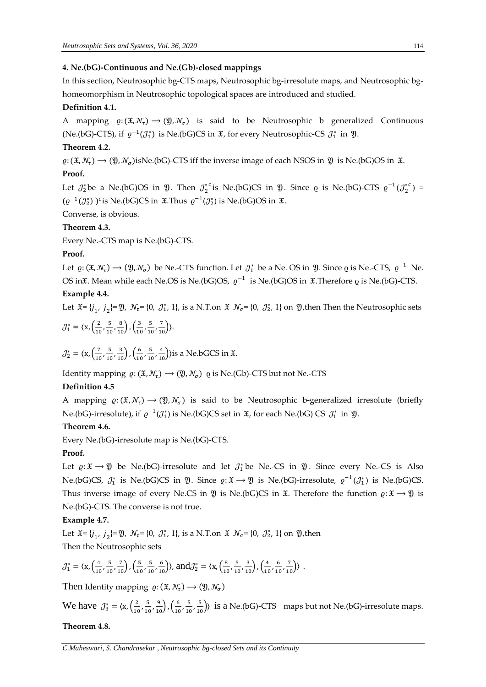#### **4. Ne.(bG)-Continuous and Ne.(Gb)-closed mappings**

In this section, Neutrosophic bg-CTS maps, Neutrosophic bg-irresolute maps, and Neutrosophic bghomeomorphism in Neutrosophic topological spaces are introduced and studied.

#### **Definition 4.1.**

A mapping  $\varrho: (\mathfrak{X}, \mathcal{N}_\tau) \to (\mathfrak{Y}, \mathcal{N}_\sigma)$  is said to be Neutrosophic b generalized Continuous (Ne.(bG)-CTS), if  $\varrho^{-1}(\mathcal{J}_1^*)$  is Ne.(bG)CS in  $\mathfrak{X}$ , for every Neutrosophic-CS  $\mathcal{J}_1^*$  in  $\mathfrak{Y}$ .

# **Theorem 4.2.**

 $\varrho: (\mathfrak{X}, \mathcal{N}_\tau) \to (\mathfrak{Y}, \mathcal{N}_\sigma)$ isNe.(bG)-CTS iff the inverse image of each NSOS in  $\mathfrak{Y}$  is Ne.(bG)OS in  $\mathfrak{X}$ . **Proof.**

Let  $J_2^*$ be a Ne.(bG)OS in  $\mathfrak{Y}$ . Then  $J_2^{*c}$  is Ne.(bG)CS in  $\mathfrak{Y}$ . Since  $\varrho$  is Ne.(bG)-CTS  $\varrho^{-1}(J_2^{*c})$  =  $(\varrho^{-1}(\mathcal{J}_2^*))^c$  is Ne.(bG)CS in  $\mathfrak{X}$ .Thus  $\varrho^{-1}(\mathcal{J}_2^*)$  is Ne.(bG)OS in  $\mathfrak{X}$ .

Converse, is obvious.

#### **Theorem 4.3.**

Every Ne.-CTS map is Ne.(bG)-CTS.

#### **Proof.**

Let  $\varrho: (\mathfrak{X}, \mathcal{N}_\tau) \to (\mathfrak{Y}, \mathcal{N}_\sigma)$  be Ne.-CTS function. Let  $\mathcal{J}_1^*$  be a Ne. OS in  $\mathfrak{Y}$ . Since  $\varrho$  is Ne.-CTS,  $\varrho^{-1}$  Ne. OS in $\frak X$ . Mean while each Ne.OS is Ne.(bG)OS,  $\,\varrho^{-1}\,$  is Ne.(bG)OS in  $\,\frak X.$ Therefore  $\varrho$  is Ne.(bG)-CTS.

#### **Example 4.4.**

Let  $\mathfrak{X} = \{j_1, j_2\} = \mathfrak{Y}$ ,  $\mathcal{N}_{\tau} = \{0, \mathcal{J}_1^*, 1\}$ , is a N.T.on  $\mathfrak{X}$   $\mathcal{N}_{\sigma} = \{0, \mathcal{J}_2^*, 1\}$  on  $\mathfrak{Y}$ , then Then the Neutrosophic sets  $J_1^* = \langle x, \frac{2}{10} \rangle$  $\frac{2}{10}$ ,  $\frac{5}{10}$  $\frac{5}{10}, \frac{8}{10}$ ,  $\left(\frac{3}{10}\right)$  $\frac{3}{10}$ ,  $\frac{5}{10}$  $\frac{5}{10}, \frac{7}{10}$ ).

$$
\mathcal{J}_2^* = \langle x, \left(\frac{7}{10}, \frac{5}{10}, \frac{3}{10}\right), \left(\frac{6}{10}, \frac{5}{10}, \frac{4}{10}\right) \rangle
$$
 is a Ne.bGCS in  $\mathfrak{X}$ .

Identity mapping  $\varrho: (\mathfrak{X}, \mathcal{N}_\tau) \to (\mathfrak{Y}, \mathcal{N}_\sigma)$   $\varrho$  is Ne.(Gb)-CTS but not Ne.-CTS

#### **Definition 4.5**

A mapping  $\varrho: (\mathfrak{X}, \mathcal{N}_\tau) \to (\mathfrak{Y}, \mathcal{N}_\sigma)$  is said to be Neutrosophic b-generalized irresolute (briefly Ne.(bG)-irresolute), if  $\varrho^{-1}(\mathcal{J}_1^*)$  is Ne.(bG)CS set in  $\mathfrak X$ , for each Ne.(bG) CS  $\mathcal{J}_1^*$  in  $\mathfrak Y$ .

#### **Theorem 4.6.**

Every Ne.(bG)-irresolute map is Ne.(bG)-CTS.

#### **Proof.**

Let  $\varrho: \mathfrak{X} \to \mathfrak{Y}$  be Ne.(bG)-irresolute and let  $\mathcal{J}_1^*$  be Ne.-CS in  $\mathfrak{Y}$ . Since every Ne.-CS is Also Ne.(bG)CS,  $J_1^*$  is Ne.(bG)CS in  $\mathfrak{Y}$ . Since  $\varrho: \mathfrak{X} \to \mathfrak{Y}$  is Ne.(bG)-irresolute,  $\varrho^{-1}(J_1^*)$  is Ne.(bG)CS. Thus inverse image of every Ne.CS in  $\mathfrak Y$  is Ne.(bG)CS in  $\mathfrak X$ . Therefore the function  $\varrho: \mathfrak X \to \mathfrak Y$  is Ne.(bG)-CTS. The converse is not true.

#### **Example 4.7.**

Let  $\mathfrak{X} = \{j_1, j_2\} = \mathfrak{Y}$ ,  $\mathcal{N}_{\tau} = \{0, \mathcal{J}_{1}^*, 1\}$ , is a N.T.on  $\mathfrak{X}$   $\mathcal{N}_{\sigma} = \{0, \mathcal{J}_{2}^*, 1\}$  on  $\mathfrak{Y}$ , then Then the Neutrosophic sets

$$
\mathcal{J}_{1}^{*}=\langle x, \left(\tfrac{4}{10}, \tfrac{5}{10}, \tfrac{7}{10}\right), \left(\tfrac{5}{10}, \tfrac{5}{10}, \tfrac{6}{10}\right)\rangle, \text{ and } \mathcal{J}_{2}^{*}=\langle x, \left(\tfrac{8}{10}, \tfrac{5}{10}, \tfrac{3}{10}\right), \left(\tfrac{4}{10}, \tfrac{6}{10}, \tfrac{7}{10}\right)\rangle\enspace.
$$

Then Identity mapping  $\varrho: (\mathfrak{X}, \mathcal{N}_\tau) \longrightarrow (\mathfrak{Y}, \mathcal{N}_\sigma)$ 

We have  $\mathcal{J}_3^* = \langle x, \left( \frac{2}{10} \right) \rangle$  $\frac{2}{10}$ ,  $\frac{5}{10}$  $\frac{5}{10}, \frac{9}{10}$ ,  $\left(\frac{6}{10}\right)$  $\frac{6}{10}$ ,  $\frac{5}{10}$  $\left(\frac{5}{10}, \frac{5}{10}\right)$  is a Ne.(bG)-CTS maps but not Ne.(bG)-irresolute maps.

#### **Theorem 4.8.**

*C.Maheswari, S. Chandrasekar , Neutrosophic bg-closed Sets and its Continuity*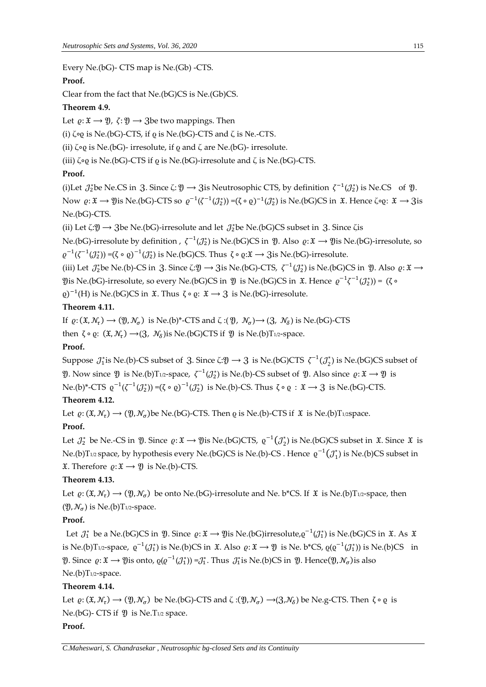Every Ne.(bG)- CTS map is Ne.(Gb) -CTS.

# **Proof.**

Clear from the fact that Ne.(bG)CS is Ne.(Gb)CS.

#### **Theorem 4.9.**

Let  $\varrho: \mathfrak{X} \to \mathfrak{Y}$ ,  $\zeta: \mathfrak{Y} \to \mathfrak{Z}$  be two mappings. Then

(i)  $\zeta \circ \varrho$  is Ne.(bG)-CTS, if  $\varrho$  is Ne.(bG)-CTS and  $\zeta$  is Ne.-CTS.

(ii) ζ∘ρ is Ne.(bG)- irresolute, if  $ρ$  and ζ are Ne.(bG)- irresolute.

(iii) ζ∘ρ is Ne.(bG)-CTS if  $ρ$  is Ne.(bG)-irresolute and ζ is Ne.(bG)-CTS.

# **Proof.**

(i)Let  $\mathcal{J}_2^*$ be Ne.CS in 3. Since  $\zeta: \mathfrak{Y} \to 3$ is Neutrosophic CTS, by definition  $\zeta^{-1}(\mathcal{J}_2^*)$  is Ne.CS of  $\mathfrak{Y}$ . Now  $\varrho: \mathfrak{X} \to \mathfrak{Y}$ is Ne.(bG)-CTS so  $\varrho^{-1}(\zeta^{-1}(\mathcal{J}_2^*)) = (\zeta \circ \varrho)^{-1}(\mathcal{J}_2^*)$  is Ne.(bG)CS in  $\mathfrak{X}$ . Hence  $\zeta \circ \varrho: \mathfrak{X} \to \mathfrak{Z}$ is Ne.(bG)-CTS.

(ii) Let  $\zeta:\mathfrak{Y}\to\mathfrak{Z}$ be Ne.(bG)-irresolute and let  $\mathcal{J}_2^*$ be Ne.(bG)CS subset in  $\mathfrak{Z}$ . Since  $\zeta$ is

Ne.(bG)-irresolute by definition ,  $\zeta^{-1}(\mathcal{J}_2^*)$  is Ne.(bG)CS in  $\mathfrak Y$ . Also  $\varrho\!:\! \mathfrak X\to \mathfrak Y$ is Ne.(bG)-irresolute, so  $\varrho^{-1}(\zeta^{-1}(\mathcal{J}_2^*))$  =(ζ ∘  $\varrho)$ <sup>-1</sup>( $\mathcal{J}_2^*$ ) is Ne.(bG)CS. Thus ζ ∘  $\varrho$ : $\mathfrak{X} \to 3$ is Ne.(bG)-irresolute.

(iii) Let  $\mathcal{J}_2^*$ be Ne.(b)-CS in 3. Since  $\zeta:\mathfrak{Y}\to 3$ is Ne.(bG)-CTS,  $\zeta^{-1}(\mathcal{J}_2^*)$  is Ne.(bG)CS in  $\mathfrak{Y}$ . Also  $\varrho:\mathfrak{X}\to 0$  $\mathfrak Y$ is Ne.(bG)-irresolute, so every Ne.(bG)CS in  $\mathfrak Y$  is Ne.(bG)CS in  $\mathfrak X$ . Hence  $\varrho^{-1}\zeta^{-1}(\mathcal J^*_2))$ = (ζ ∘

 $(2e)^{-1}(H)$  is Ne.(bG)CS in  $\mathfrak{X}$ . Thus  $\zeta \circ \varrho: \mathfrak{X} \to \mathfrak{Z}$  is Ne.(bG)-irresolute.

#### **Theorem 4.11.**

If  $\varrho: (\mathfrak{X}, \mathcal{N}_\tau) \to (\mathfrak{Y}, \mathcal{N}_\sigma)$  is Ne.(b)\*-CTS and  $\zeta: (\mathfrak{Y}, \mathcal{N}_\sigma) \to (\mathfrak{Z}, \mathcal{N}_\delta)$  is Ne.(bG)-CTS

then  $\zeta \circ \varrho$ :  $(\mathfrak{X}, \mathcal{N}_\tau) \rightarrow (\mathfrak{Z}, \mathcal{N}_\delta)$ is Ne.(bG)CTS if  $\mathfrak{Y}$  is Ne.(b)T1/2-space.

#### **Proof.**

Suppose  $\jmath_1^*$  is Ne.(b)-CS subset of 3. Since  $\zeta:\mathfrak{Y}\to \mathfrak{Z}$  is Ne.(bG)CTS  $\zeta^{-1}(\jmath_2^*)$  is Ne.(bG)CS subset of  $\mathfrak Y$ . Now since  $\mathfrak Y$  is Ne.(b)T<sub>1/2</sub>-space,  $\zeta^{-1}(\mathcal J_2^*)$  is Ne.(b)-CS subset of  $\mathfrak Y$ . Also since  $\varrho: \mathfrak X \to \mathfrak Y$  is Ne.(b)\*-CTS  $\varrho^{-1}(\zeta^{-1}(\mathcal{J}_2^*))$  =(ζ ∘  $\varrho)^{-1}(\mathcal{J}_2^*)$  is Ne.(b)-CS. Thus ζ ∘  $\varrho\,:\, \mathfrak{X}\longrightarrow\mathfrak{Z}\,$  is Ne.(bG)-CTS.

# **Theorem 4.12.**

Let  $\varrho: (\mathfrak{X}, \mathcal{N}_\tau) \to (\mathfrak{Y}, \mathcal{N}_\sigma)$ be Ne.(bG)-CTS. Then  $\varrho$  is Ne.(b)-CTS if  $\mathfrak{X}$  is Ne.(b)T1/2space.

# **Proof.**

Let  $\mathcal{J}_2^*$  be Ne.-CS in  $\mathfrak{Y}$ . Since  $\varrho: \mathfrak{X} \to \mathfrak{Y}$  is Ne.(bG)CTS,  $\varrho^{-1}(\mathcal{J}_2^*)$  is Ne.(bG)CS subset in  $\mathfrak{X}$ . Since  $\mathfrak{X}$  is Ne.(b)T1/2 space, by hypothesis every Ne.(bG)CS is Ne.(b)-CS . Hence  $\varrho^{-1}(J_1^*)$  is Ne.(b)CS subset in  $\mathfrak{X}$ . Therefore  $\rho: \mathfrak{X} \longrightarrow \mathfrak{Y}$  is Ne.(b)-CTS.

# **Theorem 4.13.**

Let  $\varrho: (\mathfrak{X}, \mathcal{N}_\tau) \to (\mathfrak{Y}, \mathcal{N}_\sigma)$  be onto Ne.(bG)-irresolute and Ne. b\*CS. If  $\mathfrak{X}$  is Ne.(b)T<sub>1/2</sub>-space, then  $(\mathfrak{Y}, \mathcal{N}_\sigma)$  is Ne.(b)T<sub>1/2</sub>-space.

#### **Proof.**

Let  $\,\mathcal{J}_1^*$  be a Ne.(bG)CS in  $\,\mathfrak{Y}$ . Since  $\,\varrho\colon \mathfrak{X}\to\mathfrak{Y}$ is Ne.(bG)irresolute, $\varrho^{-1}(\mathcal{J}_1^*)$  is Ne.(bG)CS in  $\,\mathfrak{X}$ . As  $\,\mathfrak{X}$ is Ne.(b)T1/2-space,  $\varrho^{-1}(\mathcal{J}_1^*)$  is Ne.(b)CS in  $\mathfrak{X}$ . Also  $\varrho \colon \mathfrak{X} \to \mathfrak{Y}$  is Ne. b\*CS,  $\varrho(\varrho^{-1}(\mathcal{J}_1^*))$  is Ne.(b)CS in  $\mathfrak{Y}$ . Since  $\varrho: \mathfrak{X} \to \mathfrak{Y}$ is onto,  $\varrho(\varrho^{-1}(\mathcal{J}_1^*)) = \mathcal{J}_1^*$ . Thus  $\mathcal{J}_1^*$ is Ne.(b)CS in  $\mathfrak{Y}$ . Hence $(\mathfrak{Y}, \mathcal{N}_\sigma)$ is also Ne.(b)T<sub>1/2</sub>-space.

# **Theorem 4.14.**

Let  $\varrho: (\mathfrak{X}, \mathcal{N}_\tau) \to (\mathfrak{Y}, \mathcal{N}_\sigma)$  be Ne.(bG)-CTS and  $\zeta: (\mathfrak{Y}, \mathcal{N}_\sigma) \to (\mathfrak{Z}, \mathcal{N}_\delta)$  be Ne.g-CTS. Then  $\zeta \circ \varrho$  is Ne.(bG)- CTS if  $\mathfrak Y$  is Ne.T $_{1/2}$  space.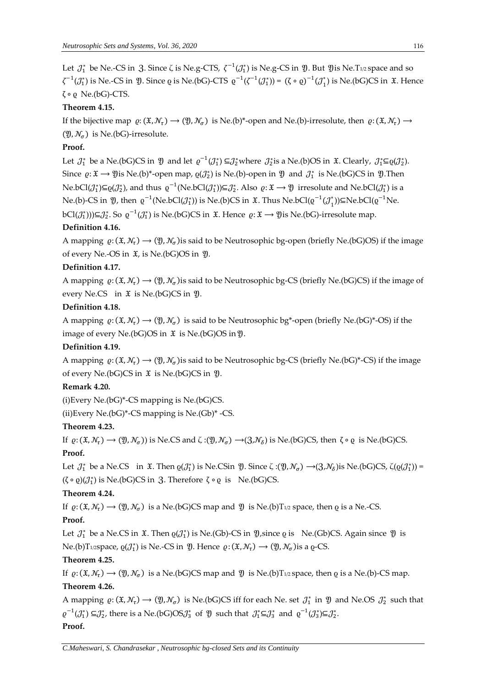Let  $J_1^*$  be Ne.-CS in 3. Since  $\zeta$  is Ne.g-CTS,  $\zeta^{-1}(J_1^*)$  is Ne.g-CS in  $\mathfrak Y$ . But  $\mathfrak Y$ is Ne.T1/2 space and so  $\zeta^{-1}(\mathcal{J}_1^*)$  is Ne.-CS in  $\mathfrak{Y}$ . Since  $\varrho$  is Ne.(bG)-CTS  $\varrho^{-1}(\zeta^{-1}(\mathcal{J}_1^*)) = (\zeta \circ \varrho)^{-1}(\mathcal{J}_1^*)$  is Ne.(bG)CS in  $\mathfrak{X}$ . Hence ζ ∘ ϱ Ne.(bG)-CTS.

# **Theorem 4.15.**

If the bijective map  $\varrho: (\mathfrak{X}, \mathcal{N}_\tau) \to (\mathfrak{Y}, \mathcal{N}_\sigma)$  is Ne.(b)\*-open and Ne.(b)-irresolute, then  $\varrho: (\mathfrak{X}, \mathcal{N}_\tau) \to$  $(\mathfrak{Y}, \mathcal{N}_{\sigma})$  is Ne.(bG)-irresolute.

# **Proof.**

Let  $\mathcal{J}_1^*$  be a Ne.(bG)CS in  $\mathfrak{Y}$  and let  $\varrho^{-1}(\mathcal{J}_1^*) \subseteq \mathcal{J}_2^*$  where  $\mathcal{J}_2^*$  is a Ne.(b)OS in  $\mathfrak{X}$ . Clearly,  $\mathcal{J}_1^* \subseteq \varrho(\mathcal{J}_2^*)$ . Since  $\varrho: \mathfrak{X} \to \mathfrak{Y}$  is Ne.(b)\*-open map,  $\varrho(\mathcal{J}_2^*)$  is Ne.(b)-open in  $\mathfrak{Y}$  and  $\mathcal{J}_1^*$  is Ne.(bG)CS in  $\mathfrak{Y}$ . Then Ne.bCl $(\mathcal{J}_1^*)\subseteq Q(\mathcal{J}_2^*)$ , and thus  $\varrho^{-1}(\text{Ne}.\text{bCl}(\mathcal{J}_1^*))\subseteq\mathcal{J}_2^*$ . Also  $\varrho\colon \mathfrak{X}\to \mathfrak{Y}$  irresolute and Ne.bCl $(\mathcal{J}_1^*)$  is a Ne.(b)-CS in  $\mathfrak{Y}$ , then  $\varrho^{-1}(\text{Ne}.\text{bCl}(\mathcal{J}_1^*))$  is Ne.(b)CS in  $\mathfrak{X}$ . Thus Ne.bCl $(\varrho^{-1}(\mathcal{J}_1^*))$  $\subseteq$ Ne.bCl $(\varrho^{-1}$ Ne. bCl( $\mathcal{J}_1^*$ )))⊆ $\mathcal{J}_2^*$ . So  $\varrho^{-1}(\mathcal{J}_1^*)$  is Ne.(bG)CS in  $\mathfrak{X}$ . Hence  $\varrho\!:\mathfrak{X}\to\mathfrak{Y}$ is Ne.(bG)-irresolute map.

# **Definition 4.16.**

A mapping  $\varrho: (\mathfrak{X}, \mathcal{N}_\tau) \to (\mathfrak{Y}, \mathcal{N}_\sigma)$  is said to be Neutrosophic bg-open (briefly Ne.(bG)OS) if the image of every Ne.-OS in  $\mathfrak{X}$ , is Ne.(bG)OS in  $\mathfrak{Y}$ .

#### **Definition 4.17.**

A mapping  $\varrho: (\mathfrak{X}, \mathcal{N}_\tau) \to (\mathfrak{Y}, \mathcal{N}_\sigma)$ is said to be Neutrosophic bg-CS (briefly Ne.(bG)CS) if the image of every Ne.CS in  $\mathfrak X$  is Ne.(bG)CS in  $\mathfrak Y$ .

#### **Definition 4.18.**

A mapping  $\varrho: (\mathfrak{X}, \mathcal{N}_\tau) \to (\mathfrak{Y}, \mathcal{N}_\sigma)$  is said to be Neutrosophic bg\*-open (briefly Ne.(bG)\*-OS) if the image of every Ne.(bG)OS in  $\mathfrak X$  is Ne.(bG)OS in  $\mathfrak Y$ .

#### **Definition 4.19.**

A mapping  $\varrho: (\mathfrak{X}, \mathcal{N}_\tau) \to (\mathfrak{Y}, \mathcal{N}_\sigma)$ is said to be Neutrosophic bg-CS (briefly Ne.(bG)\*-CS) if the image of every Ne.(bG)CS in  $\mathfrak X$  is Ne.(bG)CS in  $\mathfrak Y$ .

#### **Remark 4.20.**

 $(i)$ Every Ne. $(b)$ <sup>\*</sup>-CS mapping is Ne. $(b)$ CS.

(ii)Every Ne. $(bG)^*$ -CS mapping is Ne. $(Gb)^*$ -CS.

# **Theorem 4.23.**

If  $\varrho: (\mathfrak{X}, \mathcal{N}_\tau) \to (\mathfrak{Y}, \mathcal{N}_\sigma)$  is Ne.CS and  $\zeta: (\mathfrak{Y}, \mathcal{N}_\sigma) \to (\mathfrak{Z}, \mathcal{N}_\delta)$  is Ne.(bG)CS, then  $\zeta \circ \varrho$  is Ne.(bG)CS.

#### **Proof.**

Let  $\mathcal{J}_1^*$  be a Ne.CS in  $\mathfrak{X}$ . Then  $\varrho(\mathcal{J}_1^*)$  is Ne.CSin  $\mathfrak{Y}$ . Since  $\zeta:(\mathfrak{Y},\mathcal{N}_\sigma)\longrightarrow(\mathfrak{Z},\mathcal{N}_\delta)$ is Ne.(bG)CS,  $\zeta(\varrho(\mathcal{J}_1^*))=$  $(\zeta \circ \varrho)(\mathcal{J}_1^*)$  is Ne.(bG)CS in 3. Therefore  $\zeta \circ \varrho$  is Ne.(bG)CS.

#### **Theorem 4.24.**

If  $\varrho: (\mathfrak{X}, \mathcal{N}_\tau) \to (\mathfrak{Y}, \mathcal{N}_\sigma)$  is a Ne.(bG)CS map and  $\mathfrak{Y}$  is Ne.(b)T<sub>1/2</sub> space, then  $\varrho$  is a Ne.-CS.

#### **Proof.**

Let  $J_1^*$  be a Ne.CS in  $\mathfrak{X}$ . Then  $\varrho(J_1^*)$  is Ne.(Gb)-CS in  $\mathfrak{Y}$ , since  $\varrho$  is Ne.(Gb)CS. Again since  $\mathfrak{Y}$  is Ne.(b)T<sub>1/2</sub>space,  $\varrho(\mathcal{J}_1^*)$  is Ne.-CS in  $\mathfrak{Y}$ . Hence  $\varrho: (\mathfrak{X}, \mathcal{N}_\tau) \to (\mathfrak{Y}, \mathcal{N}_\sigma)$ is a  $\varrho$ -CS.

#### **Theorem 4.25.**

If  $\varrho: (\mathfrak{X}, \mathcal{N}_\tau) \to (\mathfrak{Y}, \mathcal{N}_\sigma)$  is a Ne.(bG)CS map and  $\mathfrak{Y}$  is Ne.(b)T<sub>1/2</sub> space, then  $\varrho$  is a Ne.(b)-CS map. **Theorem 4.26.**

A mapping  $\varrho: (\mathfrak{X}, \mathcal{N}_\tau) \to (\mathfrak{Y}, \mathcal{N}_\sigma)$  is Ne.(bG)CS iff for each Ne. set  $\mathcal{J}_1^*$  in  $\mathfrak{Y}$  and Ne.OS  $\mathcal{J}_2^*$  such that  $\varrho^{-1}(\mathcal{J}_1^*)\subseteq \mathcal{J}_2^*$ , there is a Ne.(bG)OS $\mathcal{J}_3^*$  of  $\mathfrak Y$  such that  $\mathcal{J}_1^* \subseteq \mathcal{J}_3^*$  and  $\varrho^{-1}(\mathcal{J}_3^*)\subseteq \mathcal{J}_2^*$ . **Proof.**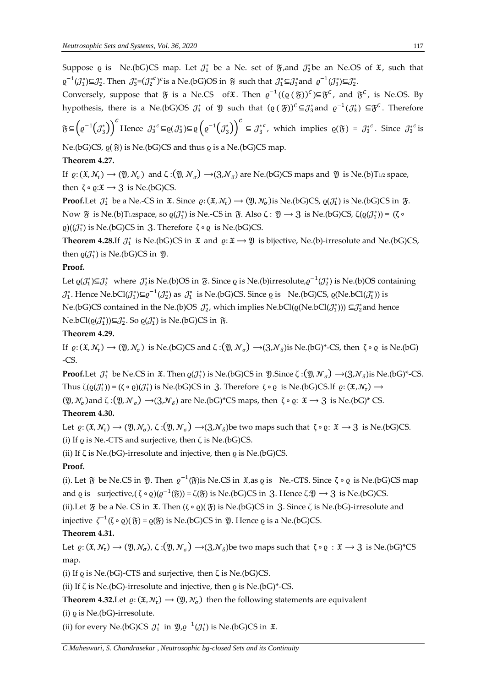Suppose  $\rho$  is Ne.(bG)CS map. Let  $\mathcal{J}_1^*$  be a Ne. set of  $\mathfrak{F},$  and  $\mathcal{J}_2^*$ be an Ne.OS of  $\mathfrak{X}$ , such that  $\varrho^{-1}(\mathcal{J}_1^*)$ ⊆ $\mathcal{J}_2^*$ . Then  $\mathcal{J}_3^*$ = $(\mathcal{J}_2^{*c})^c$ is a Ne.(bG)OS in  $\mathfrak{F}$  such that  $\mathcal{J}_1^*$ ⊆ $\mathcal{J}_3^*$ and  $\varrho^{-1}(\mathcal{J}_3^*)$ ⊆ $\mathcal{J}_2^*$ .

Conversely, suppose that  $\mathfrak F$  is a Ne.CS of X. Then  $\varrho^{-1}((\varrho\,(\mathfrak F))^c)\subseteq\mathfrak F^c$ , and  $\mathfrak F^c$ , is Ne.OS. By hypothesis, there is a Ne.(bG)OS  $J_3^*$  of  $\mathfrak Y$  such that  $(\varrho \in \mathfrak F)^c \subseteq J_3^*$  and  $\varrho^{-1}(J_3^*) \subseteq \mathfrak F^c$ . Therefore

 $\mathfrak{F}\subseteq\left(\varrho^{-1}\left(\mathcal{J}_3^*\right)\right)^c$ Hence  $\mathcal{J}_3^{*c} \subseteq \varrho(\mathcal{J}_3^*) \subseteq \varrho\left(\varrho^{-1}(\mathcal{J}_3^*)\right)^c$  $\subseteq$   $\mathcal{J}_3^{*c}$ , which implies  $\varrho(\mathfrak{F}) = \mathcal{J}_3^{*c}$ . Since  $\mathcal{J}_3^{*c}$  is

Ne.(bG)CS,  $\rho$ ( $\tilde{y}$ ) is Ne.(bG)CS and thus  $\rho$  is a Ne.(bG)CS map.

# **Theorem 4.27.**

If  $\varrho: (\mathfrak{X}, \mathcal{N}_\tau) \to (\mathfrak{Y}, \mathcal{N}_\sigma)$  and  $\zeta: (\mathfrak{Y}, \mathcal{N}_\sigma) \to (\mathfrak{Z}, \mathcal{N}_\delta)$  are Ne.(bG)CS maps and  $\mathfrak{Y}$  is Ne.(b)T<sub>1/2</sub> space, then  $\zeta \circ \varrho : \mathfrak{X} \to \mathfrak{Z}$  is Ne.(bG)CS.

**Proof.**Let  $\mathcal{J}_1^*$  be a Ne.-CS in  $\mathfrak{X}$ . Since  $\varrho: (\mathfrak{X}, \mathcal{N}_\tau) \to (\mathfrak{Y}, \mathcal{N}_\sigma)$  is Ne.(bG)CS,  $\varrho(\mathcal{J}_1^*)$  is Ne.(bG)CS in  $\mathfrak{F}$ . Now ξ is Ne.(b)T1/2space, so  $\varrho(\mathcal{J}_1^*)$  is Ne.-CS in ξ. Also ζ :  $\mathfrak{Y} \to 3$  is Ne.(bG)CS, ζ( $\varrho(\mathcal{J}_1^*)$ ) = (ζ ο  $\varrho$ )( $(\mathcal{J}_1^*)$  is Ne.(bG)CS in 3. Therefore  $\zeta \circ \varrho$  is Ne.(bG)CS.

**Theorem 4.28.**If  $\mathcal{J}_1^*$  is Ne.(bG)CS in  $\mathfrak{X}$  and  $\varrho: \mathfrak{X} \to \mathfrak{Y}$  is bijective, Ne.(b)-irresolute and Ne.(bG)CS, then  $\varrho(\mathcal{J}_1^*)$  is Ne.(bG)CS in  $\mathfrak{Y}$ .

# **Proof.**

Let  $\varrho(\mathcal{J}_1^*)\subseteq\mathcal{J}_2^*$  where  $\mathcal{J}_2^*$  is Ne.(b)OS in  $\mathfrak{F}$ . Since  $\varrho$  is Ne.(b)irresolute, $\varrho^{-1}(\mathcal{J}_2^*)$  is Ne.(b)OS containing  $\mathcal{J}_1^*$ . Hence Ne.bCl $(\mathcal{J}_1^*) \subseteq \varrho^{-1}(\mathcal{J}_2^*)$  as  $\mathcal{J}_1^*$  is Ne.(bG)CS. Since  $\varrho$  is Ne.(bG)CS,  $\varrho(Ne.bCl(\mathcal{J}_1^*))$  is Ne.(bG)CS contained in the Ne.(b)OS  $\mathcal{J}_2^*$ , which implies Ne.bCl( $\varrho(Ne.bCl(\mathcal{J}_1^*))$ )  $\subseteq \mathcal{J}_2^*$ and hence Ne.bCl( $\varrho(\mathcal{J}_1^*)$ )⊆ $\mathcal{J}_2^*$ . So  $\varrho(\mathcal{J}_1^*)$  is Ne.(bG)CS in §.

# **Theorem 4.29.**

If  $\varrho: (\mathfrak{X}, \mathcal{N}_\tau) \to (\mathfrak{Y}, \mathcal{N}_\sigma)$  is Ne.(bG)CS and  $\zeta: (\mathfrak{Y}, \mathcal{N}_\sigma) \to (\mathfrak{Z}, \mathcal{N}_\delta)$ is Ne.(bG)\*-CS, then  $\zeta \circ \varrho$  is Ne.(bG) -CS.

**Proof.**Let  $\mathcal{J}_1^*$  be Ne.CS in  $\mathfrak{X}$ . Then  $\varrho(\mathcal{J}_1^*)$  is Ne.(bG)CS in  $\mathfrak{Y}$ .Since  $\zeta$  :( $\mathfrak{Y}, \mathcal{N}_\sigma$ )  $\rightarrow$ ( $\mathfrak{Z}, \mathcal{N}_\delta$ )is Ne.(bG)\*-CS. Thus  $\zeta(\varrho(\mathcal{J}_1^*)) = (\zeta \circ \varrho)(\mathcal{J}_1^*)$  is Ne.(bG)CS in 3. Therefore  $\zeta \circ \varrho$  is Ne.(bG)CS.If  $\varrho: (\mathfrak{X}, \mathcal{N}_\tau) \longrightarrow$  $(2\text{I}, \mathcal{N}_{\sigma})$  and  $\zeta$  : $(2\text{I}, \mathcal{N}_{\sigma}) \rightarrow (3\text{I}, \mathcal{N}_{\delta})$  are Ne.(bG)\*CS maps, then  $\zeta \circ \varrho$ :  $\mathfrak{X} \rightarrow 3$  is Ne.(bG)\*CS.

# **Theorem 4.30.**

Let  $\varrho: (\mathfrak{X}, \mathcal{N}_\tau) \to (\mathfrak{Y}, \mathcal{N}_\sigma)$ ,  $\zeta: (\mathfrak{Y}, \mathcal{N}_\sigma) \to (\mathfrak{Z}, \mathcal{N}_\delta)$ be two maps such that  $\zeta \circ \varrho: \mathfrak{X} \to \mathfrak{Z}$  is Ne.(bG)CS. (i) If  $\varrho$  is Ne.-CTS and surjective, then  $\zeta$  is Ne.(bG)CS.

(ii) If  $\zeta$  is Ne.(bG)-irresolute and injective, then  $\varrho$  is Ne.(bG)CS.

# **Proof.**

(i). Let  $\mathfrak F$  be Ne.CS in  $\mathfrak Y$ . Then  $\varrho^{-1}(\mathfrak F)$  is Ne.CS in  $\mathfrak X$ ,as  $\varrho$  is Ne.-CTS. Since  $\zeta \circ \varrho$  is Ne.(bG)CS map and  $\varrho$  is  $\varrho$  surjective,(  $\zeta \circ \varrho) (\varrho^{-1}(\mathfrak{F})) = \zeta(\mathfrak{F})$  is Ne.(bG)CS in  $\vartheta$ . Hence  $\zeta : \mathfrak{Y} \to \vartheta$  is Ne.(bG)CS.

(ii).Let  $\tilde{y}$  be a Ne. CS in  $\tilde{x}$ . Then  $(\zeta \circ \varrho)(\tilde{y})$  is Ne.(bG)CS in  $\tilde{y}$ . Since  $\zeta$  is Ne.(bG)-irresolute and injective  $\zeta^{-1}(\zeta \circ \varrho)(\mathfrak{F})$  =  $\varrho(\mathfrak{F})$  is Ne.(bG)CS in  $\mathfrak{Y}$ . Hence  $\varrho$  is a Ne.(bG)CS.

# **Theorem 4.31.**

Let  $\varrho: (\mathfrak{X}, \mathcal{N}_\tau) \to (\mathfrak{Y}, \mathcal{N}_\sigma)$ ,  $\zeta: (\mathfrak{Y}, \mathcal{N}_\sigma) \to (\mathfrak{Z}, \mathcal{N}_\delta)$ be two maps such that  $\zeta \circ \varrho : \mathfrak{X} \to \mathfrak{Z}$  is Ne.(bG)\*CS map.

(i) If  $\rho$  is Ne.(bG)-CTS and surjective, then  $\zeta$  is Ne.(bG)CS.

(ii) If  $\zeta$  is Ne.(bG)-irresolute and injective, then  $\varrho$  is Ne.(bG)\*-CS.

**Theorem 4.32.**Let  $\varrho: (\mathfrak{X}, \mathcal{N}_\tau) \to (\mathfrak{Y}, \mathcal{N}_\sigma)$  then the following statements are equivalent

(i)  $\rho$  is Ne.(bG)-irresolute.

(ii) for every Ne.(bG)CS  $\mathcal{J}_1^*$  in  $\mathfrak{Y}, \varrho^{-1}(\mathcal{J}_1^*)$  is Ne.(bG)CS in  $\mathfrak{X}$ .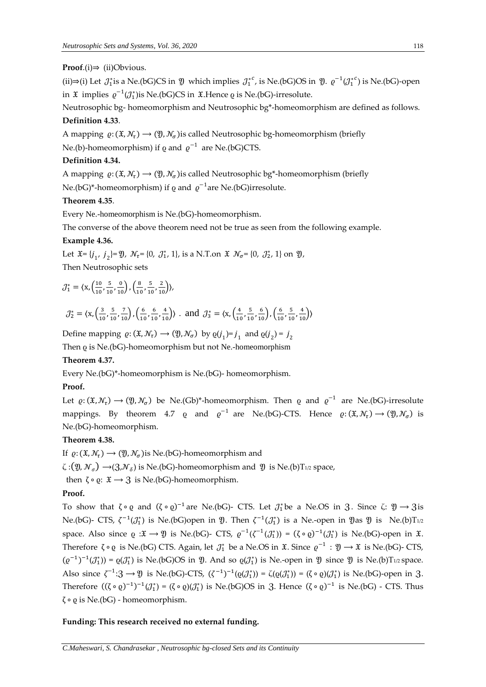#### **Proof**.(i)⇒ (ii)Obvious.

(ii)⇒(i) Let  $\mathcal{J}_1^*$ is a Ne.(bG)CS in  $\mathfrak Y$  which implies  $\mathcal{J}_1^{*c}$ , is Ne.(bG)OS in  $\mathfrak Y$ .  $\varrho^{-1}(\mathcal{J}_1^{*c})$  is Ne.(bG)-open in  $\mathfrak X$  implies  $\varrho^{-1}(\mathcal J_1^*)$ is Ne.(bG)CS in  $\mathfrak X$ .Hence  $\varrho$  is Ne.(bG)-irresolute.

Neutrosophic bg- homeomorphism and Neutrosophic bg\*-homeomorphism are defined as follows. **Definition 4.33**.

A mapping  $\varrho: (\mathfrak{X}, \mathcal{N}_\tau) \to (\mathfrak{Y}, \mathcal{N}_\sigma)$  is called Neutrosophic bg-homeomorphism (briefly

Ne.(b)-homeomorphism) if  $\varrho$  and  $\varrho^{-1}\,$  are Ne.(bG)CTS.

#### **Definition 4.34.**

A mapping  $\varrho: (\mathfrak{X}, \mathcal{N}_\tau) \to (\mathfrak{Y}, \mathcal{N}_\sigma)$ is called Neutrosophic bg\*-homeomorphism (briefly Ne.(bG)\*-homeomorphism) if  $\varrho$  and  $\varrho^{-1}$ are Ne.(bG)irresolute.

#### **Theorem 4.35**.

Every Ne.-homeomorphism is Ne.(bG)-homeomorphism.

The converse of the above theorem need not be true as seen from the following example.

# **Example 4.36.**

Let  $\mathfrak{X} = \{j_1, j_2\} = \mathfrak{Y}, \mathcal{N}_{\tau} = \{0, \mathcal{J}_{1}^*, 1\}, \text{ is a N.T.}$  on  $\mathfrak{X}, \mathcal{N}_{\sigma} = \{0, \mathcal{J}_{2}^*, 1\}$  on  $\mathfrak{Y},$ Then Neutrosophic sets

$$
\mathcal{J}_1^* = \langle \mathbf{x}, \left( \frac{10}{10}, \frac{5}{10}, \frac{0}{10} \right), \left( \frac{8}{10}, \frac{5}{10}, \frac{2}{10} \right) \rangle,
$$

$$
\mathcal{J}_2^* = \langle x, \left(\frac{3}{10}, \frac{5}{10}, \frac{7}{10}\right), \left(\frac{6}{10}, \frac{6}{10}, \frac{4}{10}\right) \rangle \text{ and } \mathcal{J}_3^* = \langle x, \left(\frac{4}{10}, \frac{5}{10}, \frac{6}{10}\right), \left(\frac{6}{10}, \frac{5}{10}, \frac{4}{10}\right) \rangle
$$

Define mapping  $\varrho: (\mathfrak{X}, \mathcal{N}_\tau) \to (\mathfrak{Y}, \mathcal{N}_\sigma)$  by  $\varrho(j_1)=j_1$  and  $\varrho(j_2)=j_2$ 

Then *Q* is Ne.(bG)-homeomorphism but not Ne.-homeomorphism

#### **Theorem 4.37.**

Every Ne.(bG)\*-homeomorphism is Ne.(bG)- homeomorphism.

#### **Proof.**

Let  $\varrho: (\mathfrak{X}, \mathcal{N}_\tau) \to (\mathfrak{Y}, \mathcal{N}_\sigma)$  be Ne.(Gb)\*-homeomorphism. Then  $\varrho$  and  $\varrho^{-1}$  are Ne.(bG)-irresolute mappings. By theorem 4.7  $\varrho$  and  $\varrho^{-1}$  are Ne.(bG)-CTS. Hence  $\varrho: (\mathfrak{X}, \mathcal{N}_\tau) \to (\mathfrak{Y}, \mathcal{N}_\sigma)$  is Ne.(bG)-homeomorphism.

#### **Theorem 4.38.**

If  $\varrho: (\mathfrak{X}, \mathcal{N}_\tau) \longrightarrow (\mathfrak{Y}, \mathcal{N}_\sigma)$  is Ne.(bG)-homeomorphism and

 $\zeta$  :( $\mathfrak{Y}, \mathcal{N}_{\sigma}$ )  $\rightarrow$ (3, $\mathcal{N}_{\delta}$ ) is Ne.(bG)-homeomorphism and  $\mathfrak{Y}$  is Ne.(b)T<sub>1/2</sub> space,

then  $\zeta \circ \varrho$ :  $\mathfrak{X} \to \mathfrak{Z}$  is Ne.(bG)-homeomorphism.

# **Proof.**

To show that  $\zeta \circ \varrho$  and  $(\zeta \circ \varrho)^{-1}$  are Ne.(bG)- CTS. Let  $\mathcal{J}_1^*$  be a Ne.OS in 3. Since  $\zeta: \mathfrak{Y} \to 3$  is Ne.(bG)- CTS,  $\zeta^{-1}(\mathcal{J}_1^*)$  is Ne.(bG)open in  $\mathfrak{Y}$ . Then  $\zeta^{-1}(\mathcal{J}_1^*)$  is a Ne.-open in  $\mathfrak{Y}$ as  $\mathfrak{Y}$  is Ne.(b)T<sub>1/2</sub> space. Also since  $\varrho : \mathfrak{X} \to \mathfrak{Y}$  is Ne.(bG)- CTS,  $\varrho^{-1}(\zeta^{-1}(\mathcal{J}_1^*)) = (\zeta \circ \varrho)^{-1}(\mathcal{J}_1^*)$  is Ne.(bG)-open in  $\mathfrak{X}$ . Therefore  $\zeta \circ \varrho$  is Ne.(bG) CTS. Again, let  $\mathcal{J}_1^*$  be a Ne.OS in  $\mathfrak{X}$ . Since  $\varrho^{-1} : \mathfrak{Y} \to \mathfrak{X}$  is Ne.(bG)- CTS,  $(\varrho^{-1})^{-1}(\mathcal{J}_1^*) = \varrho(\mathcal{J}_1^*)$  is Ne.(bG)OS in  $\mathfrak{Y}$ . And so  $\varrho(\mathcal{J}_1^*)$  is Ne.-open in  $\mathfrak{Y}$  since  $\mathfrak{Y}$  is Ne.(b)T<sub>1/2</sub> space. Also since  $\zeta^{-1}:\mathfrak{Z}\to\mathfrak{Y}$  is Ne.(bG)-CTS,  $(\zeta^{-1})^{-1}(\varrho(\mathcal{J}_1^*))=\zeta(\varrho(\mathcal{J}_1^*))=(\zeta\circ\varrho)(\mathcal{J}_1^*)$  is Ne.(bG)-open in  $\mathfrak{Z}$ . Therefore  $((\zeta \circ \varrho)^{-1})^{-1}(\mathcal{J}_1^*) = (\zeta \circ \varrho)(\mathcal{J}_1^*)$  is Ne.(bG)OS in 3. Hence  $(\zeta \circ \varrho)^{-1}$  is Ne.(bG) - CTS. Thus ζ ∘ ϱ is Ne.(bG) - homeomorphism.

#### **Funding: This research received no external funding.**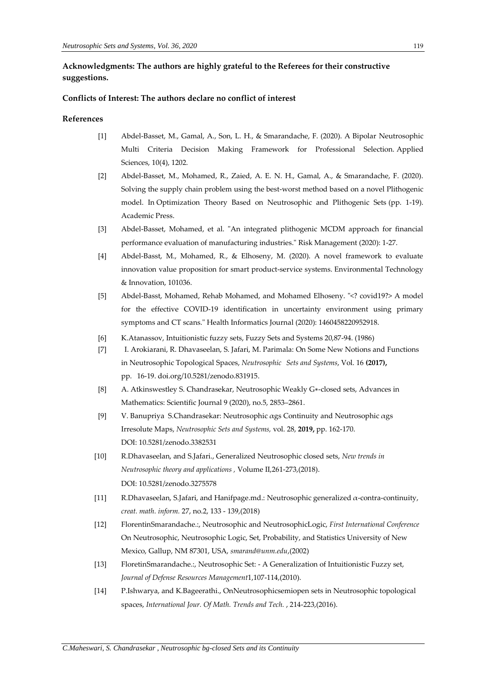# **Acknowledgments: The authors are highly grateful to the Referees for their constructive suggestions.**

#### **Conflicts of Interest: The authors declare no conflict of interest**

#### **References**

- [1] Abdel-Basset, M., Gamal, A., Son, L. H., & Smarandache, F. (2020). A Bipolar Neutrosophic Multi Criteria Decision Making Framework for Professional Selection. Applied Sciences, 10(4), 1202.
- [2] Abdel-Basset, M., Mohamed, R., Zaied, A. E. N. H., Gamal, A., & Smarandache, F. (2020). Solving the supply chain problem using the best-worst method based on a novel Plithogenic model. In Optimization Theory Based on Neutrosophic and Plithogenic Sets (pp. 1-19). Academic Press.
- [3] Abdel-Basset, Mohamed, et al. "An integrated plithogenic MCDM approach for financial performance evaluation of manufacturing industries." Risk Management (2020): 1-27.
- [4] Abdel-Basst, M., Mohamed, R., & Elhoseny, M. (2020). A novel framework to evaluate innovation value proposition for smart product-service systems. Environmental Technology & Innovation, 101036.
- [5] Abdel-Basst, Mohamed, Rehab Mohamed, and Mohamed Elhoseny. "<? covid19?> A model for the effective COVID-19 identification in uncertainty environment using primary symptoms and CT scans." Health Informatics Journal (2020): 1460458220952918.
- [6] K.Atanassov, Intuitionistic fuzzy sets, Fuzzy Sets and Systems 20,87-94. (1986)
- [7] I. Arokiarani, R. Dhavaseelan, S. Jafari, M. Parimala: [On Some New Notions and Functions](http://fs.unm.edu/NSS/OnSomeNewNotionsAndFunctionsInNeutrosophic.pdf)  [in Neutrosophic Topological Spaces,](http://fs.unm.edu/NSS/OnSomeNewNotionsAndFunctionsInNeutrosophic.pdf) *Neutrosophic Sets and Systems*, Vol. 16 **(2017),** pp. 16-19. [doi.org/10.5281/zenodo.831915.](https://doi.org/10.5281/zenodo.831915)
- [8] A. Atkinswestley S. Chandrasekar, Neutrosophic Weakly G∗-closed sets, Advances in Mathematics: Scientific Journal 9 (2020), no.5, 2853–2861.
- [9] V. Banupriya S.Chandrasekar: [Neutrosophic αgs Continuity and Neutrosophic αgs](http://fs.unm.edu/NSS/NeutrosophicContinuity.pdf)  [Irresolute Maps,](http://fs.unm.edu/NSS/NeutrosophicContinuity.pdf) *Neutrosophic Sets and Systems,* vol. 28, **2019,** pp. 162-170. DOI: [10.5281/zenodo.3382531](https://zenodo.org/record/3382531#.XWpDA3uxXIU)
- [10] R.Dhavaseelan, and S.Jafari., Generalized Neutrosophic closed sets, *New trends in Neutrosophic theory and applications ,* Volume II,261-273,(2018). DOI: [10.5281/zenodo.3275578](https://zenodo.org/record/3275578)
- [11] R.Dhavaseelan, S.Jafari, and Hanifpage.md.: Neutrosophic generalized  $\alpha$ -contra-continuity, *creat. math. inform.* 27, no.2, 133 - 139,(2018)
- [12] FlorentinSmarandache.:, Neutrosophic and NeutrosophicLogic, *First International Conference* On Neutrosophic, Neutrosophic Logic, Set, Probability, and Statistics University of New Mexico, Gallup, NM 87301, USA, *smarand@unm.edu*,(2002)
- [13] FloretinSmarandache.:, Neutrosophic Set: A Generalization of Intuitionistic Fuzzy set, *Journal of Defense Resources Management*1,107-114,(2010).
- [14] P.Ishwarya, and K.Bageerathi., OnNeutrosophicsemiopen sets in Neutrosophic topological spaces, *International Jour. Of Math. Trends and Tech.* , 214-223,(2016).